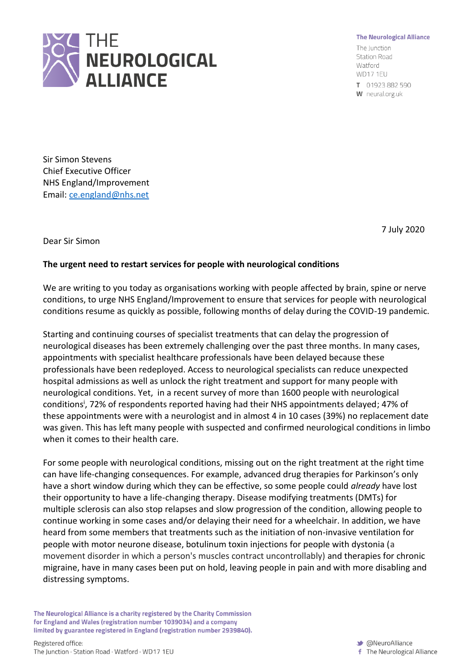

## **The Neurological Alliance**

The Junction **Station Road** Watford WD171EU

T 01923 882 590 W neural.org.uk

Sir Simon Stevens Chief Executive Officer NHS England/Improvement Email: [ce.england@nhs.net](mailto:ce.england@nhs.net)

7 July 2020

Dear Sir Simon

## **The urgent need to restart services for people with neurological conditions**

We are writing to you today as organisations working with people affected by brain, spine or nerve conditions, to urge NHS England/Improvement to ensure that services for people with neurological conditions resume as quickly as possible, following months of delay during the COVID-19 pandemic.

Starting and continuing courses of specialist treatments that can delay the progression of neurological diseases has been extremely challenging over the past three months. In many cases, appointments with specialist healthcare professionals have been delayed because these professionals have been redeployed. Access to neurological specialists can reduce unexpected hospital admissions as well as unlock the right treatment and support for many people with neurological conditions. Yet, in a recent survey of more than 1600 people with neurological conditions<sup>i</sup>, 72% of respondents reported having had their NHS appointments delayed; 47% of these appointments were with a neurologist and in almost 4 in 10 cases (39%) no replacement date was given. This has left many people with suspected and confirmed neurological conditions in limbo when it comes to their health care.

For some people with neurological conditions, missing out on the right treatment at the right time can have life-changing consequences. For example, advanced drug therapies for Parkinson's only have a short window during which they can be effective, so some people could *already* have lost their opportunity to have a life-changing therapy. Disease modifying treatments (DMTs) for multiple sclerosis can also stop relapses and slow progression of the condition, allowing people to continue working in some cases and/or delaying their need for a wheelchair. In addition, we have heard from some members that treatments such as the initiation of non-invasive ventilation for people with motor neurone disease, botulinum toxin injections for people with dystonia (a movement disorder in which a person's muscles contract uncontrollably) and therapies for chronic migraine, have in many cases been put on hold, leaving people in pain and with more disabling and distressing symptoms.

The Neurological Alliance is a charity registered by the Charity Commission for England and Wales (registration number 1039034) and a company limited by guarantee registered in England (registration number 2939840).

**M** @NeuroAlliance f The Neurological Alliance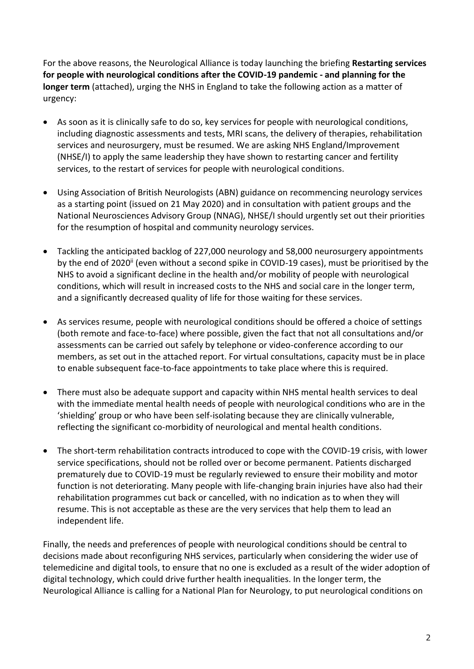For the above reasons, the Neurological Alliance is today launching the briefing **Restarting services for people with neurological conditions after the COVID-19 pandemic - and planning for the longer term** (attached), urging the NHS in England to take the following action as a matter of urgency:

- As soon as it is clinically safe to do so, key services for people with neurological conditions, including diagnostic assessments and tests, MRI scans, the delivery of therapies, rehabilitation services and neurosurgery, must be resumed. We are asking NHS England/Improvement (NHSE/I) to apply the same leadership they have shown to restarting cancer and fertility services, to the restart of services for people with neurological conditions.
- Using Association of British Neurologists (ABN) guidance on recommencing neurology services as a starting point (issued on 21 May 2020) and in consultation with patient groups and the National Neurosciences Advisory Group (NNAG), NHSE/I should urgently set out their priorities for the resumption of hospital and community neurology services.
- Tackling the anticipated backlog of 227,000 neurology and 58,000 neurosurgery appointments by the end of 2020<sup>ii</sup> (even without a second spike in COVID-19 cases), must be prioritised by the NHS to avoid a significant decline in the health and/or mobility of people with neurological conditions, which will result in increased costs to the NHS and social care in the longer term, and a significantly decreased quality of life for those waiting for these services.
- As services resume, people with neurological conditions should be offered a choice of settings (both remote and face-to-face) where possible, given the fact that not all consultations and/or assessments can be carried out safely by telephone or video-conference according to our members, as set out in the attached report. For virtual consultations, capacity must be in place to enable subsequent face-to-face appointments to take place where this is required.
- There must also be adequate support and capacity within NHS mental health services to deal with the immediate mental health needs of people with neurological conditions who are in the 'shielding' group or who have been self-isolating because they are clinically vulnerable, reflecting the significant co-morbidity of neurological and mental health conditions.
- The short-term rehabilitation contracts introduced to cope with the COVID-19 crisis, with lower service specifications, should not be rolled over or become permanent. Patients discharged prematurely due to COVID-19 must be regularly reviewed to ensure their mobility and motor function is not deteriorating. Many people with life-changing brain injuries have also had their rehabilitation programmes cut back or cancelled, with no indication as to when they will resume. This is not acceptable as these are the very services that help them to lead an independent life.

Finally, the needs and preferences of people with neurological conditions should be central to decisions made about reconfiguring NHS services, particularly when considering the wider use of telemedicine and digital tools, to ensure that no one is excluded as a result of the wider adoption of digital technology, which could drive further health inequalities. In the longer term, the Neurological Alliance is calling for a National Plan for Neurology, to put neurological conditions on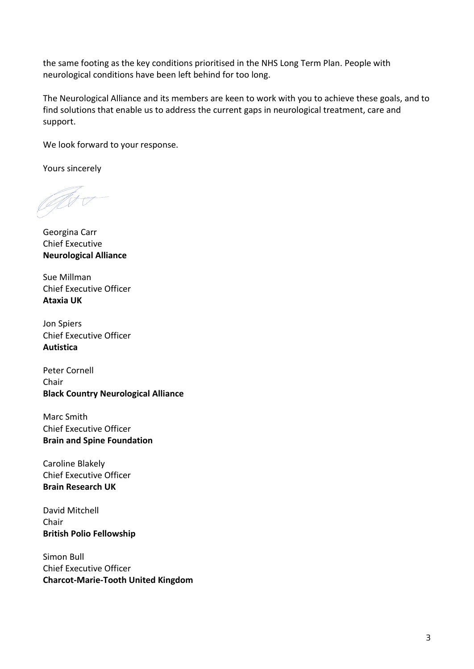the same footing as the key conditions prioritised in the NHS Long Term Plan. People with neurological conditions have been left behind for too long.

The Neurological Alliance and its members are keen to work with you to achieve these goals, and to find solutions that enable us to address the current gaps in neurological treatment, care and support.

We look forward to your response.

Yours sincerely

AS S

Georgina Carr Chief Executive **Neurological Alliance**

Sue Millman Chief Executive Officer **Ataxia UK**

Jon Spiers Chief Executive Officer **Autistica**

Peter Cornell Chair **Black Country Neurological Alliance**

Marc Smith Chief Executive Officer **Brain and Spine Foundation**

Caroline Blakely Chief Executive Officer **Brain Research UK**

David Mitchell Chair **British Polio Fellowship**

Simon Bull Chief Executive Officer **Charcot-Marie-Tooth United Kingdom**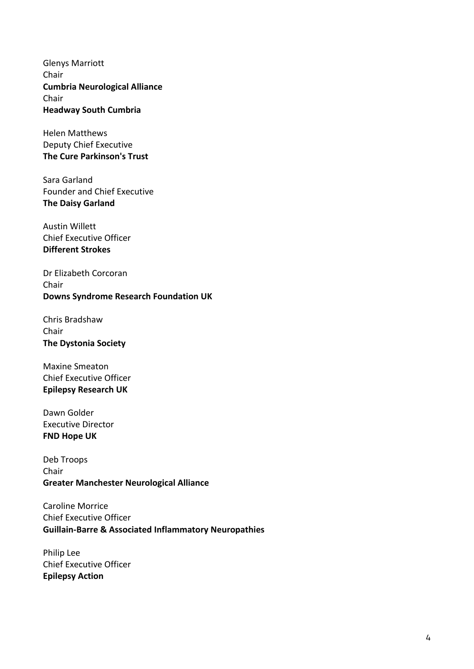Glenys Marriott Chair **Cumbria Neurological Alliance** Chair **Headway South Cumbria** 

Helen Matthews Deputy Chief Executive **The Cure Parkinson's Trust**

Sara Garland Founder and Chief Executive **The Daisy Garland**

Austin Willett Chief Executive Officer **Different Strokes**

Dr Elizabeth Corcoran Chair **Downs Syndrome Research Foundation UK**

Chris Bradshaw Chair **The Dystonia Society**

Maxine Smeaton Chief Executive Officer **Epilepsy Research UK**

Dawn Golder Executive Director **FND Hope UK**

Deb Troops Chair **Greater Manchester Neurological Alliance**

Caroline Morrice Chief Executive Officer **Guillain-Barre & Associated Inflammatory Neuropathies**

Philip Lee Chief Executive Officer **Epilepsy Action**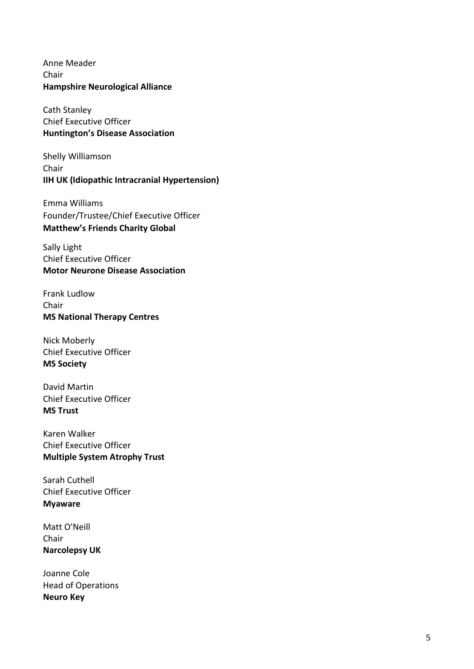Anne Meader Chair **Hampshire Neurological Alliance**

Cath Stanley Chief Executive Officer **Huntington's Disease Association**

Shelly Williamson Chair **IIH UK (Idiopathic Intracranial Hypertension)**

Emma Williams Founder/Trustee/Chief Executive Officer **Matthew's Friends Charity Global**

Sally Light Chief Executive Officer **Motor Neurone Disease Association**

Frank Ludlow Chair **MS National Therapy Centres**

Nick Moberly Chief Executive Officer **MS Society**

David Martin Chief Executive Officer **MS Trust**

Karen Walker Chief Executive Officer **Multiple System Atrophy Trust**

Sarah Cuthell Chief Executive Officer **Myaware**

Matt O'Neill Chair **Narcolepsy UK**

Joanne Cole Head of Operations **Neuro Key**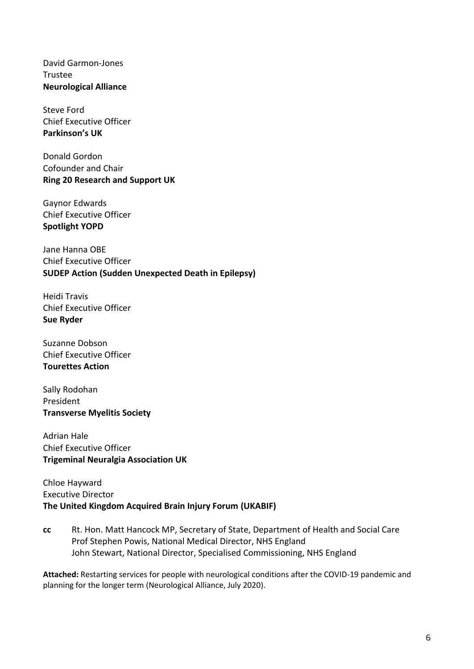David Garmon-Jones Trustee **Neurological Alliance**

Steve Ford Chief Executive Officer **Parkinson's UK**

Donald Gordon Cofounder and Chair **Ring 20 Research and Support UK**

Gaynor Edwards Chief Executive Officer **Spotlight YOPD**

Jane Hanna OBE Chief Executive Officer **SUDEP Action (Sudden Unexpected Death in Epilepsy)**

Heidi Travis Chief Executive Officer **Sue Ryder**

Suzanne Dobson Chief Executive Officer **Tourettes Action**

Sally Rodohan President **Transverse Myelitis Society**

Adrian Hale Chief Executive Officer **Trigeminal Neuralgia Association UK**

Chloe Hayward Executive Director **The United Kingdom Acquired Brain Injury Forum (UKABIF)**

**cc** Rt. Hon. Matt Hancock MP, Secretary of State, Department of Health and Social Care Prof Stephen Powis, National Medical Director, NHS England John Stewart, National Director, Specialised Commissioning, NHS England

**Attached:** Restarting services for people with neurological conditions after the COVID-19 pandemic and planning for the longer term (Neurological Alliance, July 2020).